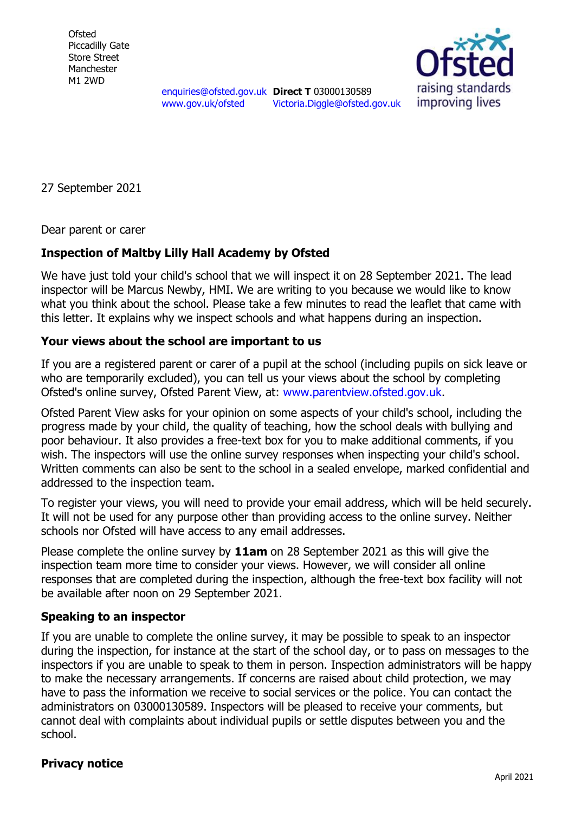**Ofsted** Piccadilly Gate Store Street Manchester M1 2WD

raising standards improving lives

[enquiries@ofsted.gov.uk](mailto:enquiries@ofsted.gov.uk) **Direct T** 03000130589 [www.gov.uk/ofsted](http://www.gov.uk/ofsted)

[Victoria.Diggle@ofsted.gov.uk](mailto:Victoria.Diggle@ofsted.gov.uk)

27 September 2021

Dear parent or carer

## **Inspection of Maltby Lilly Hall Academy by Ofsted**

We have just told your child's school that we will inspect it on 28 September 2021. The lead inspector will be Marcus Newby, HMI. We are writing to you because we would like to know what you think about the school. Please take a few minutes to read the leaflet that came with this letter. It explains why we inspect schools and what happens during an inspection.

## **Your views about the school are important to us**

If you are a registered parent or carer of a pupil at the school (including pupils on sick leave or who are temporarily excluded), you can tell us your views about the school by completing Ofsted's online survey, Ofsted Parent View, at: [www.parentview.ofsted.gov.uk.](http://www.parentview.ofsted.gov.uk/)

Ofsted Parent View asks for your opinion on some aspects of your child's school, including the progress made by your child, the quality of teaching, how the school deals with bullying and poor behaviour. It also provides a free-text box for you to make additional comments, if you wish. The inspectors will use the online survey responses when inspecting your child's school. Written comments can also be sent to the school in a sealed envelope, marked confidential and addressed to the inspection team.

To register your views, you will need to provide your email address, which will be held securely. It will not be used for any purpose other than providing access to the online survey. Neither schools nor Ofsted will have access to any email addresses.

Please complete the online survey by **11am** on 28 September 2021 as this will give the inspection team more time to consider your views. However, we will consider all online responses that are completed during the inspection, although the free-text box facility will not be available after noon on 29 September 2021.

## **Speaking to an inspector**

If you are unable to complete the online survey, it may be possible to speak to an inspector during the inspection, for instance at the start of the school day, or to pass on messages to the inspectors if you are unable to speak to them in person. Inspection administrators will be happy to make the necessary arrangements. If concerns are raised about child protection, we may have to pass the information we receive to social services or the police. You can contact the administrators on 03000130589. Inspectors will be pleased to receive your comments, but cannot deal with complaints about individual pupils or settle disputes between you and the school.

## **Privacy notice**